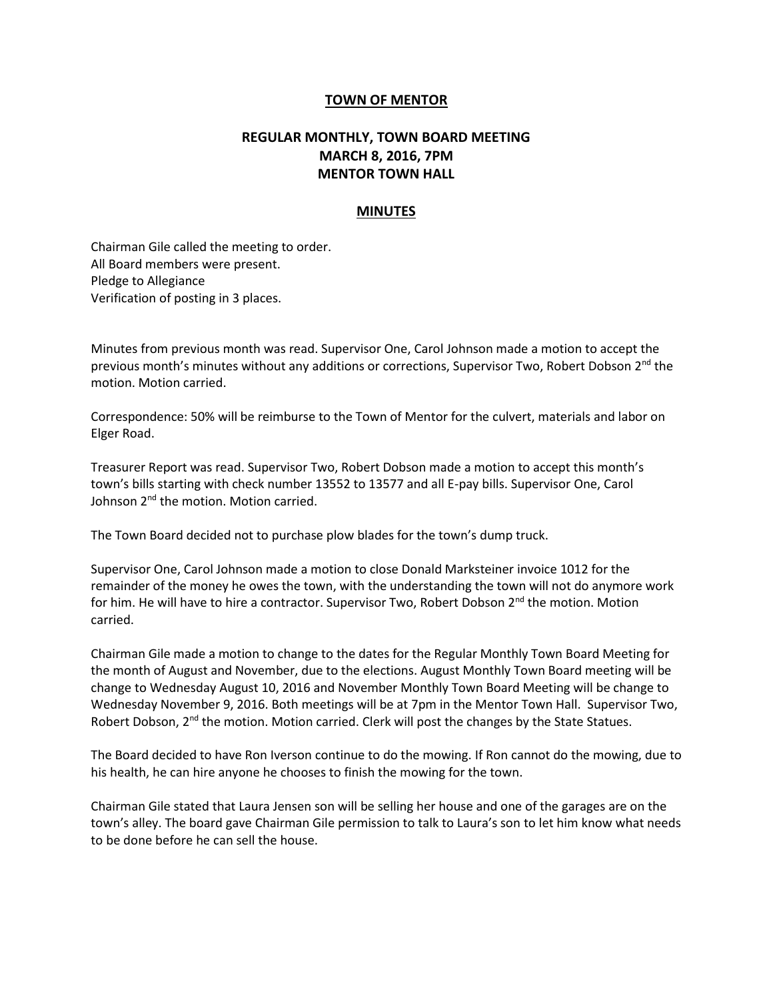## **TOWN OF MENTOR**

## **REGULAR MONTHLY, TOWN BOARD MEETING MARCH 8, 2016, 7PM MENTOR TOWN HALL**

## **MINUTES**

Chairman Gile called the meeting to order. All Board members were present. Pledge to Allegiance Verification of posting in 3 places.

Minutes from previous month was read. Supervisor One, Carol Johnson made a motion to accept the previous month's minutes without any additions or corrections, Supervisor Two, Robert Dobson 2<sup>nd</sup> the motion. Motion carried.

Correspondence: 50% will be reimburse to the Town of Mentor for the culvert, materials and labor on Elger Road.

Treasurer Report was read. Supervisor Two, Robert Dobson made a motion to accept this month's town's bills starting with check number 13552 to 13577 and all E-pay bills. Supervisor One, Carol Johnson 2<sup>nd</sup> the motion. Motion carried.

The Town Board decided not to purchase plow blades for the town's dump truck.

Supervisor One, Carol Johnson made a motion to close Donald Marksteiner invoice 1012 for the remainder of the money he owes the town, with the understanding the town will not do anymore work for him. He will have to hire a contractor. Supervisor Two, Robert Dobson  $2^{nd}$  the motion. Motion carried.

Chairman Gile made a motion to change to the dates for the Regular Monthly Town Board Meeting for the month of August and November, due to the elections. August Monthly Town Board meeting will be change to Wednesday August 10, 2016 and November Monthly Town Board Meeting will be change to Wednesday November 9, 2016. Both meetings will be at 7pm in the Mentor Town Hall. Supervisor Two, Robert Dobson, 2<sup>nd</sup> the motion. Motion carried. Clerk will post the changes by the State Statues.

The Board decided to have Ron Iverson continue to do the mowing. If Ron cannot do the mowing, due to his health, he can hire anyone he chooses to finish the mowing for the town.

Chairman Gile stated that Laura Jensen son will be selling her house and one of the garages are on the town's alley. The board gave Chairman Gile permission to talk to Laura's son to let him know what needs to be done before he can sell the house.